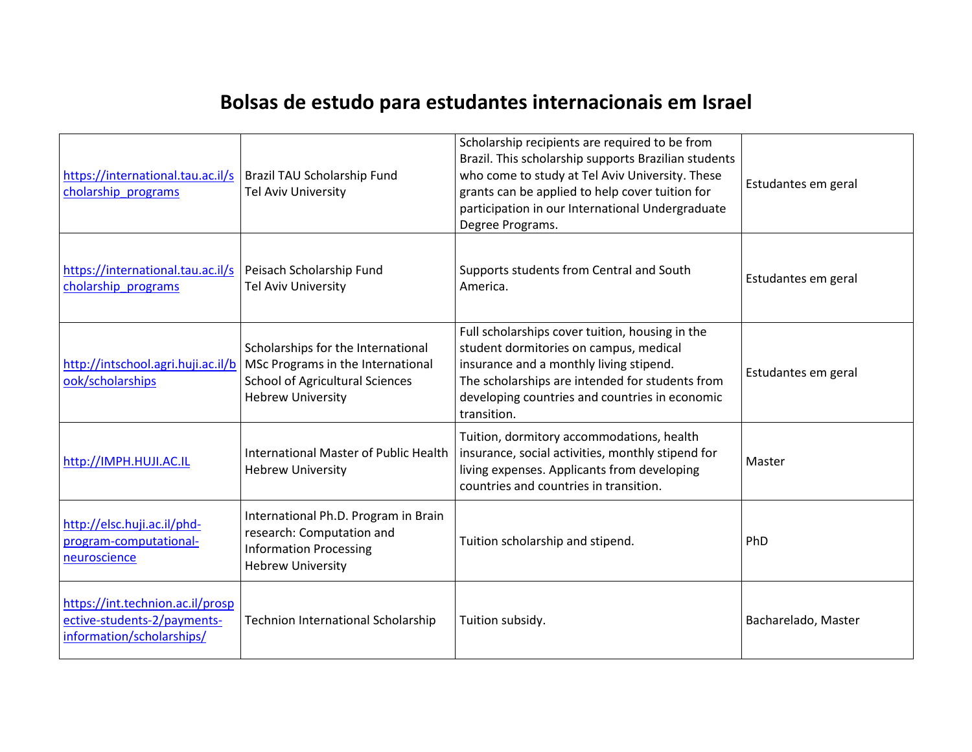## **Bolsas de estudo para estudantes internacionais em Israel**

| https://international.tau.ac.il/s<br>cholarship programs                                     | Brazil TAU Scholarship Fund<br>Tel Aviv University                                                                                                                                 | Scholarship recipients are required to be from<br>Brazil. This scholarship supports Brazilian students<br>who come to study at Tel Aviv University. These<br>grants can be applied to help cover tuition for<br>participation in our International Undergraduate<br>Degree Programs. | Estudantes em geral |
|----------------------------------------------------------------------------------------------|------------------------------------------------------------------------------------------------------------------------------------------------------------------------------------|--------------------------------------------------------------------------------------------------------------------------------------------------------------------------------------------------------------------------------------------------------------------------------------|---------------------|
| https://international.tau.ac.il/s<br>cholarship programs                                     | Peisach Scholarship Fund<br><b>Tel Aviv University</b>                                                                                                                             | Supports students from Central and South<br>America.                                                                                                                                                                                                                                 | Estudantes em geral |
| ook/scholarships                                                                             | Scholarships for the International<br>http://intschool.agri.huji.ac.il/b   MSc Programs in the International<br><b>School of Agricultural Sciences</b><br><b>Hebrew University</b> | Full scholarships cover tuition, housing in the<br>student dormitories on campus, medical<br>insurance and a monthly living stipend.<br>The scholarships are intended for students from<br>developing countries and countries in economic<br>transition.                             | Estudantes em geral |
| http://IMPH.HUJI.AC.IL                                                                       | International Master of Public Health<br><b>Hebrew University</b>                                                                                                                  | Tuition, dormitory accommodations, health<br>insurance, social activities, monthly stipend for<br>living expenses. Applicants from developing<br>countries and countries in transition.                                                                                              | Master              |
| http://elsc.huji.ac.il/phd-<br>program-computational-<br>neuroscience                        | International Ph.D. Program in Brain<br>research: Computation and<br><b>Information Processing</b><br><b>Hebrew University</b>                                                     | Tuition scholarship and stipend.                                                                                                                                                                                                                                                     | PhD                 |
| https://int.technion.ac.il/prosp<br>ective-students-2/payments-<br>information/scholarships/ | <b>Technion International Scholarship</b>                                                                                                                                          | Tuition subsidy.                                                                                                                                                                                                                                                                     | Bacharelado, Master |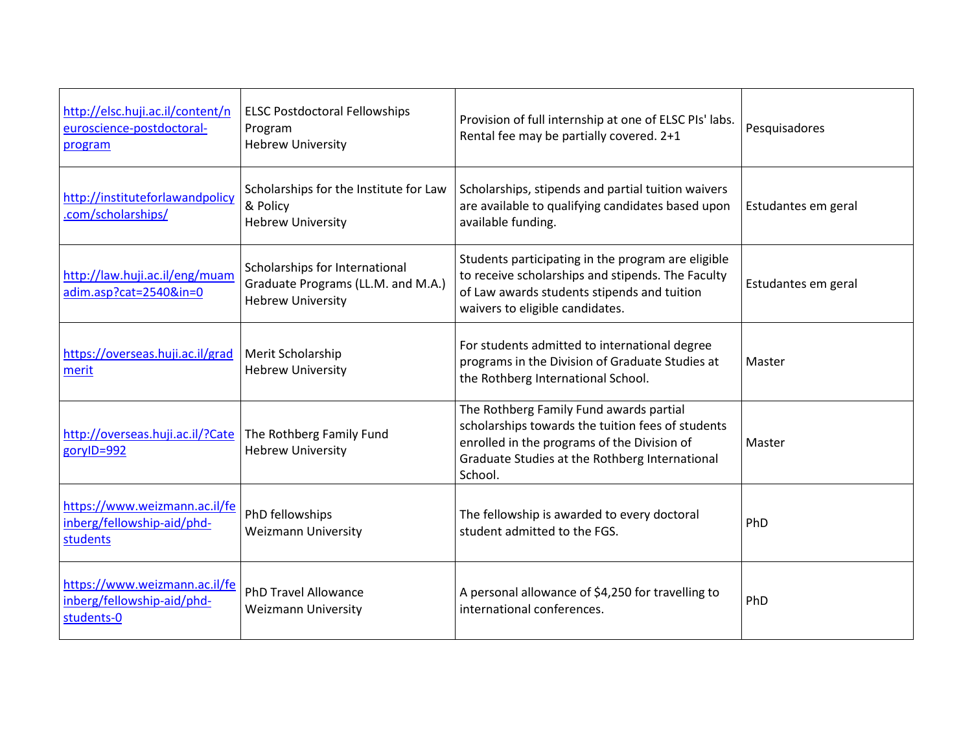| http://elsc.huji.ac.il/content/n<br>euroscience-postdoctoral-<br>program  | <b>ELSC Postdoctoral Fellowships</b><br>Program<br><b>Hebrew University</b>                      | Provision of full internship at one of ELSC PIs' labs.<br>Rental fee may be partially covered. 2+1                                                                                                       | Pesquisadores       |
|---------------------------------------------------------------------------|--------------------------------------------------------------------------------------------------|----------------------------------------------------------------------------------------------------------------------------------------------------------------------------------------------------------|---------------------|
| http://instituteforlawandpolicy<br>.com/scholarships/                     | Scholarships for the Institute for Law<br>& Policy<br><b>Hebrew University</b>                   | Scholarships, stipends and partial tuition waivers<br>are available to qualifying candidates based upon<br>available funding.                                                                            | Estudantes em geral |
| http://law.huji.ac.il/eng/muam<br>adim.asp?cat=2540∈=0                    | Scholarships for International<br>Graduate Programs (LL.M. and M.A.)<br><b>Hebrew University</b> | Students participating in the program are eligible<br>to receive scholarships and stipends. The Faculty<br>of Law awards students stipends and tuition<br>waivers to eligible candidates.                | Estudantes em geral |
| https://overseas.huji.ac.il/grad<br>merit                                 | Merit Scholarship<br><b>Hebrew University</b>                                                    | For students admitted to international degree<br>programs in the Division of Graduate Studies at<br>the Rothberg International School.                                                                   | Master              |
| http://overseas.huji.ac.il/?Cate<br>gorylD=992                            | The Rothberg Family Fund<br><b>Hebrew University</b>                                             | The Rothberg Family Fund awards partial<br>scholarships towards the tuition fees of students<br>enrolled in the programs of the Division of<br>Graduate Studies at the Rothberg International<br>School. | Master              |
| https://www.weizmann.ac.il/fe<br>inberg/fellowship-aid/phd-<br>students   | PhD fellowships<br><b>Weizmann University</b>                                                    | The fellowship is awarded to every doctoral<br>student admitted to the FGS.                                                                                                                              | PhD                 |
| https://www.weizmann.ac.il/fe<br>inberg/fellowship-aid/phd-<br>students-0 | <b>PhD Travel Allowance</b><br><b>Weizmann University</b>                                        | A personal allowance of \$4,250 for travelling to<br>international conferences.                                                                                                                          | PhD                 |